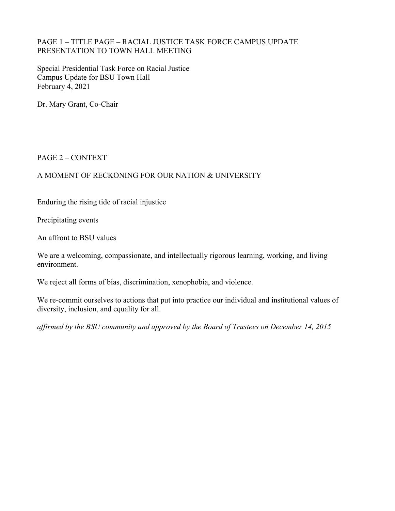### PAGE 1 – TITLE PAGE – RACIAL JUSTICE TASK FORCE CAMPUS UPDATE PRESENTATION TO TOWN HALL MEETING

Special Presidential Task Force on Racial Justice Campus Update for BSU Town Hall February 4, 2021

Dr. Mary Grant, Co-Chair

### PAGE 2 – CONTEXT

# A MOMENT OF RECKONING FOR OUR NATION & UNIVERSITY

Enduring the rising tide of racial injustice

Precipitating events

An affront to BSU values

We are a welcoming, compassionate, and intellectually rigorous learning, working, and living environment.

We reject all forms of bias, discrimination, xenophobia, and violence.

We re-commit ourselves to actions that put into practice our individual and institutional values of diversity, inclusion, and equality for all.

*affirmed by the BSU community and approved by the Board of Trustees on December 14, 2015*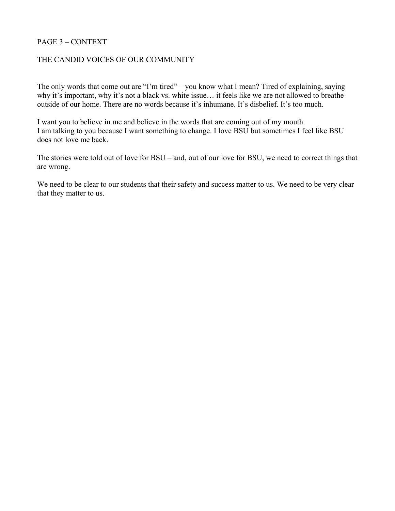### PAGE 3 – CONTEXT

### THE CANDID VOICES OF OUR COMMUNITY

The only words that come out are "I'm tired" – you know what I mean? Tired of explaining, saying why it's important, why it's not a black vs. white issue… it feels like we are not allowed to breathe outside of our home. There are no words because it's inhumane. It's disbelief. It's too much.

I want you to believe in me and believe in the words that are coming out of my mouth. I am talking to you because I want something to change. I love BSU but sometimes I feel like BSU does not love me back.

The stories were told out of love for BSU – and, out of our love for BSU, we need to correct things that are wrong.

We need to be clear to our students that their safety and success matter to us. We need to be very clear that they matter to us.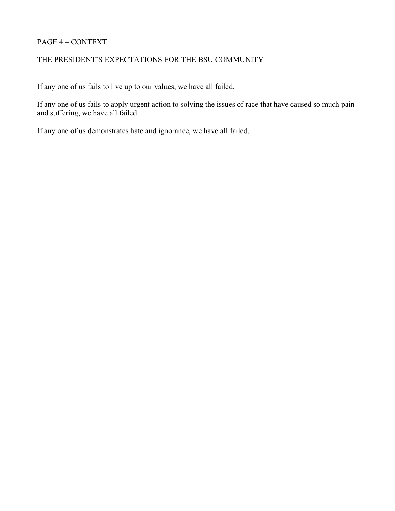### PAGE 4 – CONTEXT

# THE PRESIDENT'S EXPECTATIONS FOR THE BSU COMMUNITY

If any one of us fails to live up to our values, we have all failed.

If any one of us fails to apply urgent action to solving the issues of race that have caused so much pain and suffering, we have all failed.

If any one of us demonstrates hate and ignorance, we have all failed.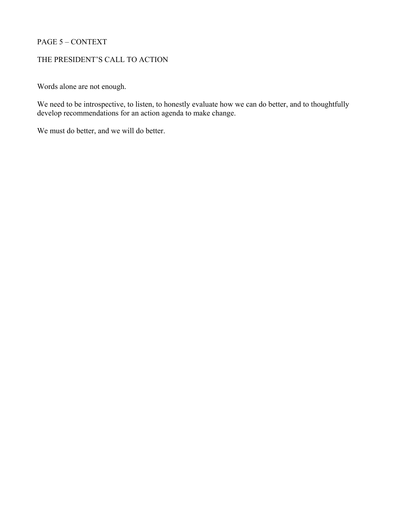### PAGE 5 – CONTEXT

# THE PRESIDENT'S CALL TO ACTION

Words alone are not enough.

We need to be introspective, to listen, to honestly evaluate how we can do better, and to thoughtfully develop recommendations for an action agenda to make change.

We must do better, and we will do better.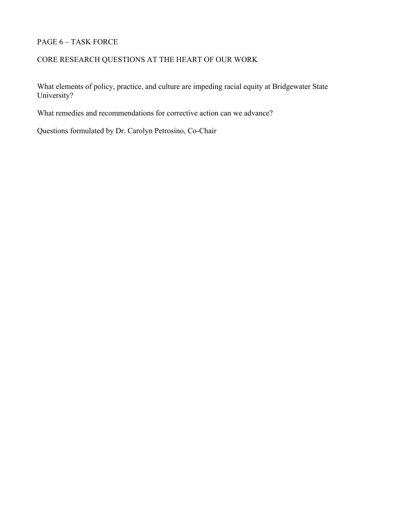# PAGE 6 – TASK FORCE

# CORE RESEARCH QUESTIONS AT THE HEART OF OUR WORK

What elements of policy, practice, and culture are impeding racial equity at Bridgewater State University?

What remedies and recommendations for corrective action can we advance?

Questions formulated by Dr. Carolyn Petrosino, Co-Chair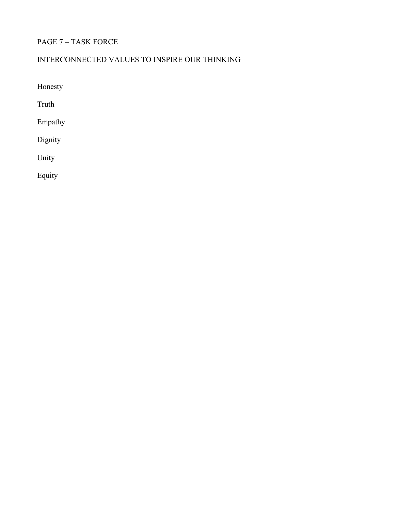# PAGE 7 – TASK FORCE

# INTERCONNECTED VALUES TO INSPIRE OUR THINKING

Honesty

Truth

Empathy

Dignity

Unity

Equity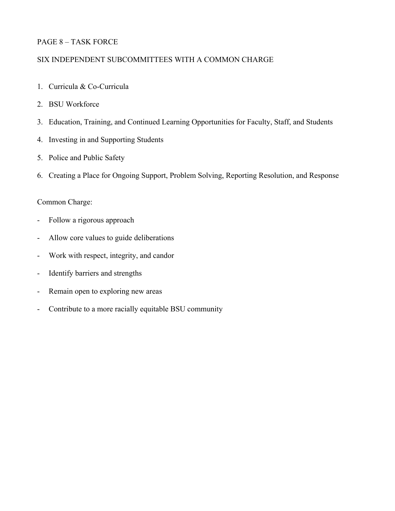### PAGE 8 – TASK FORCE

### SIX INDEPENDENT SUBCOMMITTEES WITH A COMMON CHARGE

- 1. Curricula & Co-Curricula
- 2. BSU Workforce
- 3. Education, Training, and Continued Learning Opportunities for Faculty, Staff, and Students
- 4. Investing in and Supporting Students
- 5. Police and Public Safety
- 6. Creating a Place for Ongoing Support, Problem Solving, Reporting Resolution, and Response

# Common Charge:

- Follow a rigorous approach
- Allow core values to guide deliberations
- Work with respect, integrity, and candor
- Identify barriers and strengths
- Remain open to exploring new areas
- Contribute to a more racially equitable BSU community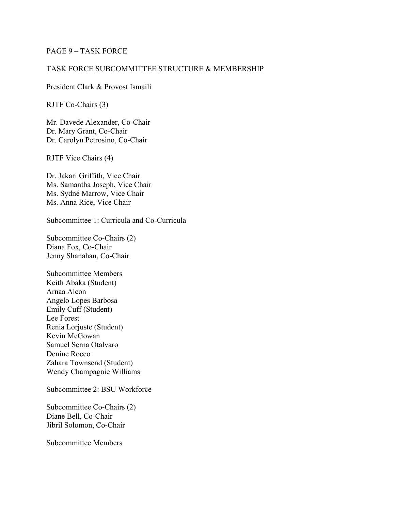#### PAGE 9 – TASK FORCE

### TASK FORCE SUBCOMMITTEE STRUCTURE & MEMBERSHIP

President Clark & Provost Ismaili

RJTF Co-Chairs (3)

Mr. Davede Alexander, Co-Chair Dr. Mary Grant, Co-Chair Dr. Carolyn Petrosino, Co-Chair

RJTF Vice Chairs (4)

Dr. Jakari Griffith, Vice Chair Ms. Samantha Joseph, Vice Chair Ms. Sydné Marrow, Vice Chair Ms. Anna Rice, Vice Chair

Subcommittee 1: Curricula and Co-Curricula

Subcommittee Co-Chairs (2) Diana Fox, Co-Chair Jenny Shanahan, Co-Chair

Subcommittee Members Keith Abaka (Student) Arnaa Alcon Angelo Lopes Barbosa Emily Cuff (Student) Lee Forest Renia Lorjuste (Student) Kevin McGowan Samuel Serna Otalvaro Denine Rocco Zahara Townsend (Student) Wendy Champagnie Williams

Subcommittee 2: BSU Workforce

Subcommittee Co-Chairs (2) Diane Bell, Co-Chair Jibril Solomon, Co-Chair

Subcommittee Members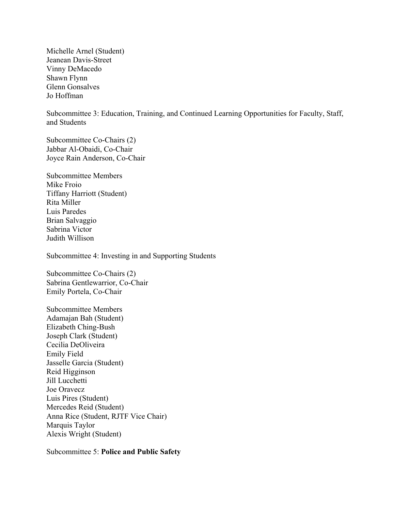Michelle Arnel (Student) Jeanean Davis-Street Vinny DeMacedo Shawn Flynn Glenn Gonsalves Jo Hoffman

Subcommittee 3: Education, Training, and Continued Learning Opportunities for Faculty, Staff, and Students

Subcommittee Co-Chairs (2) Jabbar Al-Obaidi, Co-Chair Joyce Rain Anderson, Co-Chair

Subcommittee Members Mike Froio Tiffany Harriott (Student) Rita Miller Luis Paredes Brian Salvaggio Sabrina Victor Judith Willison

Subcommittee 4: Investing in and Supporting Students

Subcommittee Co-Chairs (2) Sabrina Gentlewarrior, Co-Chair Emily Portela, Co-Chair

Subcommittee Members Adamajan Bah (Student) Elizabeth Ching-Bush Joseph Clark (Student) Cecilia DeOliveira Emily Field Jasselle Garcia (Student) Reid Higginson Jill Lucchetti Joe Oravecz Luis Pires (Student) Mercedes Reid (Student) Anna Rice (Student, RJTF Vice Chair) Marquis Taylor Alexis Wright (Student)

Subcommittee 5: **Police and Public Safety**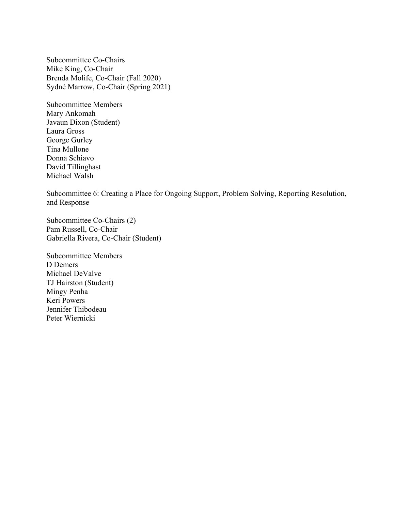Subcommittee Co-Chairs Mike King, Co-Chair Brenda Molife, Co-Chair (Fall 2020) Sydné Marrow, Co-Chair (Spring 2021)

Subcommittee Members Mary Ankomah Javaun Dixon (Student) Laura Gross George Gurley Tina Mullone Donna Schiavo David Tillinghast Michael Walsh

Subcommittee 6: Creating a Place for Ongoing Support, Problem Solving, Reporting Resolution, and Response

Subcommittee Co-Chairs (2) Pam Russell, Co-Chair Gabriella Rivera, Co-Chair (Student)

Subcommittee Members D Demers Michael DeValve TJ Hairston (Student) Mingy Penha Keri Powers Jennifer Thibodeau Peter Wiernicki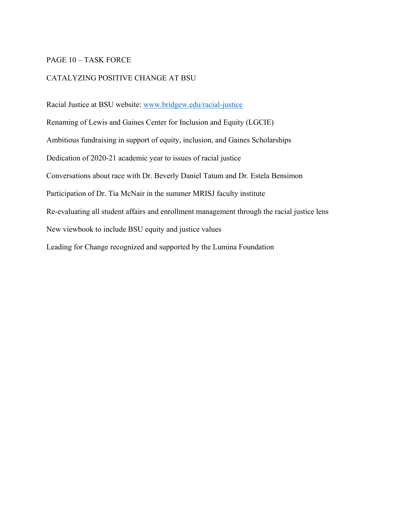#### PAGE 10 – TASK FORCE

### CATALYZING POSITIVE CHANGE AT BSU

Racial Justice at BSU website: [www.bridgew.edu/racial-justice](http://www.bridgew.edu/racial-justice) Renaming of Lewis and Gaines Center for Inclusion and Equity (LGCIE) Ambitious fundraising in support of equity, inclusion, and Gaines Scholarships Dedication of 2020-21 academic year to issues of racial justice Conversations about race with Dr. Beverly Daniel Tatum and Dr. Estela Bensimon Participation of Dr. Tia McNair in the summer MRISJ faculty institute Re-evaluating all student affairs and enrollment management through the racial justice lens New viewbook to include BSU equity and justice values Leading for Change recognized and supported by the Lumina Foundation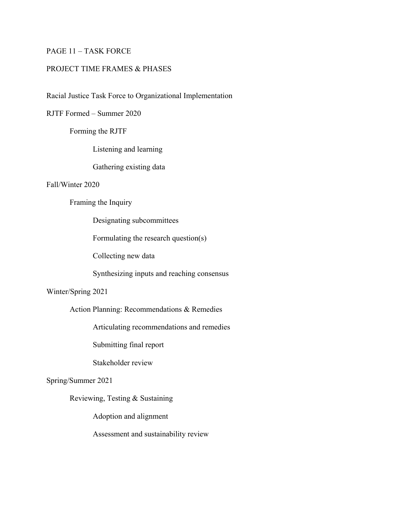### PAGE 11 – TASK FORCE

#### PROJECT TIME FRAMES & PHASES

Racial Justice Task Force to Organizational Implementation

RJTF Formed – Summer 2020

Forming the RJTF

Listening and learning

Gathering existing data

#### Fall/Winter 2020

### Framing the Inquiry

Designating subcommittees

Formulating the research question(s)

Collecting new data

Synthesizing inputs and reaching consensus

#### Winter/Spring 2021

Action Planning: Recommendations & Remedies

Articulating recommendations and remedies

Submitting final report

Stakeholder review

#### Spring/Summer 2021

Reviewing, Testing & Sustaining

Adoption and alignment

Assessment and sustainability review